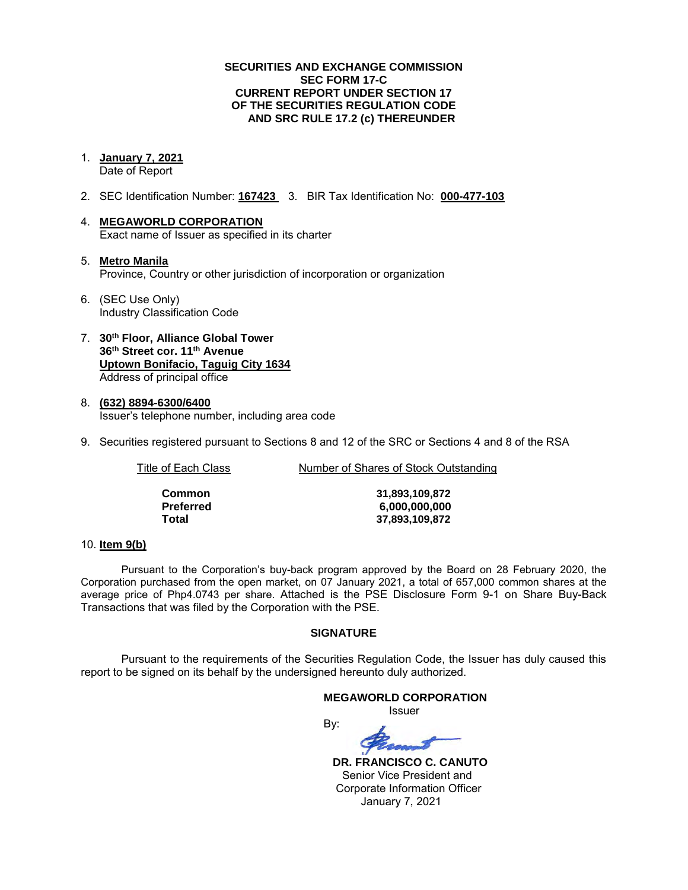### **SECURITIES AND EXCHANGE COMMISSION SEC FORM 17-C CURRENT REPORT UNDER SECTION 17 OF THE SECURITIES REGULATION CODE AND SRC RULE 17.2 (c) THEREUNDER**

1. **January 7, 2021** 

Date of Report

- 2. SEC Identification Number: **167423** 3. BIR Tax Identification No: **000-477-103**
- 4. **MEGAWORLD CORPORATION**  Exact name of Issuer as specified in its charter
- 5. **Metro Manila** Province, Country or other jurisdiction of incorporation or organization
- 6. (SEC Use Only) Industry Classification Code
- 7. **30th Floor, Alliance Global Tower 36th Street cor. 11th Avenue Uptown Bonifacio, Taguig City 1634** Address of principal office
- 8. **(632) 8894-6300/6400**  Issuer's telephone number, including area code
- 9. Securities registered pursuant to Sections 8 and 12 of the SRC or Sections 4 and 8 of the RSA

Title of Each Class **Number of Shares of Stock Outstanding** 

| Common    |  |
|-----------|--|
| Preferred |  |
| Total     |  |

**Common 31,893,109,872 Preferred 6,000,000,000 Total 37,893,109,872**

### 10. **Item 9(b)**

Pursuant to the Corporation's buy-back program approved by the Board on 28 February 2020, the Corporation purchased from the open market, on 07 January 2021, a total of 657,000 common shares at the average price of Php4.0743 per share. Attached is the PSE Disclosure Form 9-1 on Share Buy-Back Transactions that was filed by the Corporation with the PSE.

### **SIGNATURE**

Pursuant to the requirements of the Securities Regulation Code, the Issuer has duly caused this report to be signed on its behalf by the undersigned hereunto duly authorized.

#### **MEGAWORLD CORPORATION**

*<u>Issuer</u> Issuer Issuer* 

By:

 **DR. FRANCISCO C. CANUTO**  Senior Vice President and Corporate Information Officer January 7, 2021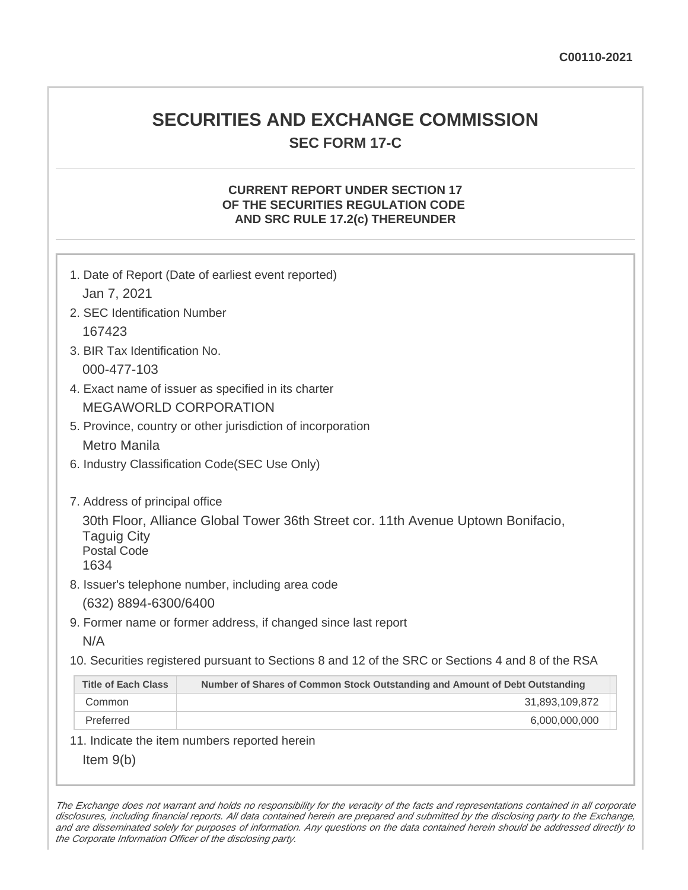# **SECURITIES AND EXCHANGE COMMISSION SEC FORM 17-C**

# **CURRENT REPORT UNDER SECTION 17 OF THE SECURITIES REGULATION CODE AND SRC RULE 17.2(c) THEREUNDER**

| Jan 7, 2021                                      | 1. Date of Report (Date of earliest event reported)                                               |
|--------------------------------------------------|---------------------------------------------------------------------------------------------------|
| 2. SEC Identification Number                     |                                                                                                   |
| 167423                                           |                                                                                                   |
| 3. BIR Tax Identification No.                    |                                                                                                   |
| 000-477-103                                      |                                                                                                   |
|                                                  | 4. Exact name of issuer as specified in its charter                                               |
|                                                  | <b>MEGAWORLD CORPORATION</b>                                                                      |
|                                                  | 5. Province, country or other jurisdiction of incorporation                                       |
| <b>Metro Manila</b>                              |                                                                                                   |
|                                                  | 6. Industry Classification Code(SEC Use Only)                                                     |
|                                                  |                                                                                                   |
| 7. Address of principal office                   |                                                                                                   |
| <b>Taguig City</b><br><b>Postal Code</b><br>1634 | 30th Floor, Alliance Global Tower 36th Street cor. 11th Avenue Uptown Bonifacio,                  |
|                                                  | 8. Issuer's telephone number, including area code                                                 |
| (632) 8894-6300/6400                             |                                                                                                   |
|                                                  | 9. Former name or former address, if changed since last report                                    |
| N/A                                              |                                                                                                   |
|                                                  | 10. Securities registered pursuant to Sections 8 and 12 of the SRC or Sections 4 and 8 of the RSA |
| <b>Title of Each Class</b>                       | Number of Shares of Common Stock Outstanding and Amount of Debt Outstanding                       |
| Common                                           | 31,893,109,872                                                                                    |
| Preferred                                        | 6,000,000,000                                                                                     |
|                                                  | 11. Indicate the item numbers reported herein                                                     |
| Item $9(b)$                                      |                                                                                                   |

The Exchange does not warrant and holds no responsibility for the veracity of the facts and representations contained in all corporate disclosures, including financial reports. All data contained herein are prepared and submitted by the disclosing party to the Exchange, and are disseminated solely for purposes of information. Any questions on the data contained herein should be addressed directly to the Corporate Information Officer of the disclosing party.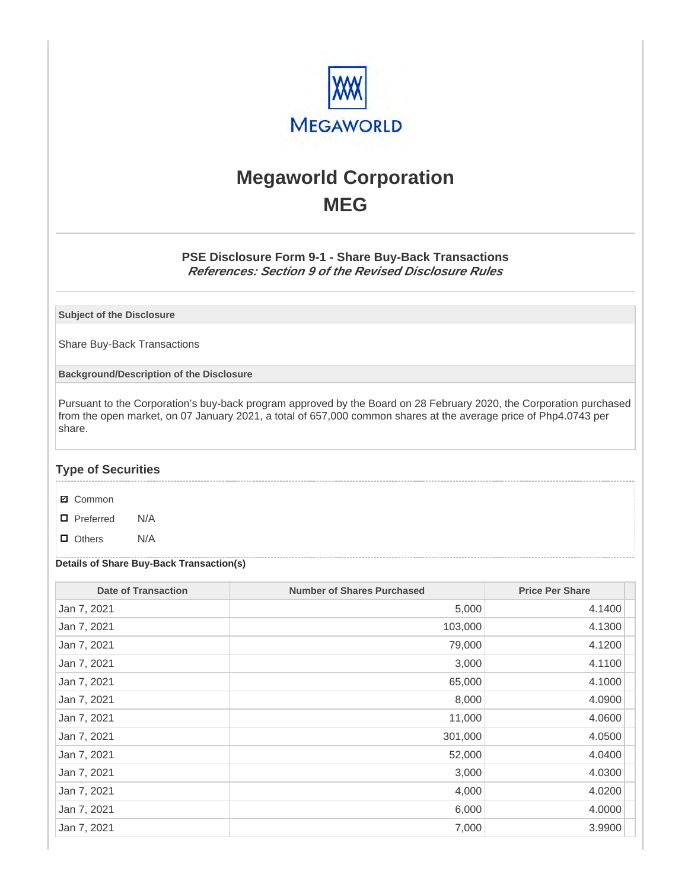

# **Megaworld Corporation MEG**

## **PSE Disclosure Form 9-1 - Share Buy-Back Transactions References: Section 9 of the Revised Disclosure Rules**

**Subject of the Disclosure**

Share Buy-Back Transactions

**Background/Description of the Disclosure**

Pursuant to the Corporation's buy-back program approved by the Board on 28 February 2020, the Corporation purchased from the open market, on 07 January 2021, a total of 657,000 common shares at the average price of Php4.0743 per share.

### **Type of Securities**

- **☑** Common
- □ Preferred N/A
- D Others N/A

### **Details of Share Buy-Back Transaction(s)**

| <b>Date of Transaction</b> | <b>Number of Shares Purchased</b> | <b>Price Per Share</b> |
|----------------------------|-----------------------------------|------------------------|
| Jan 7, 2021                | 5,000                             | 4.1400                 |
| Jan 7, 2021                | 103,000                           | 4.1300                 |
| Jan 7, 2021                | 79,000                            | 4.1200                 |
| Jan 7, 2021                | 3,000                             | 4.1100                 |
| Jan 7, 2021                | 65,000                            | 4.1000                 |
| Jan 7, 2021                | 8,000                             | 4.0900                 |
| Jan 7, 2021                | 11,000                            | 4.0600                 |
| Jan 7, 2021                | 301,000                           | 4.0500                 |
| Jan 7, 2021                | 52,000                            | 4.0400                 |
| Jan 7, 2021                | 3,000                             | 4.0300                 |
| Jan 7, 2021                | 4,000                             | 4.0200                 |
| Jan 7, 2021                | 6,000                             | 4.0000                 |
| Jan 7, 2021                | 7,000                             | 3.9900                 |